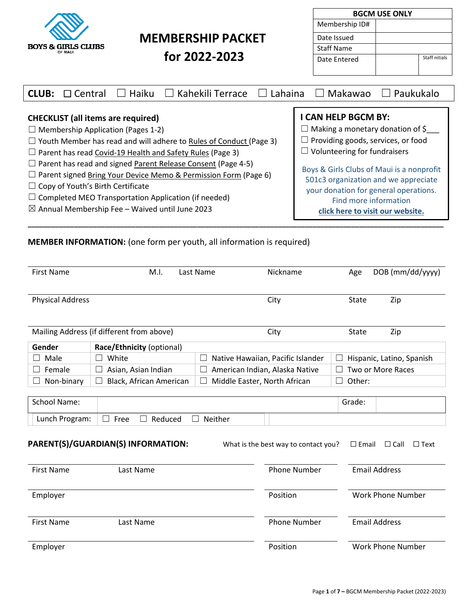| <b>BOYS &amp; GIRLS CLUBS</b><br>OF MAUI |
|------------------------------------------|

Г

# **MEMBERSHIP PACKET**

 **for 2022-2023**

| <b>BGCM USE ONLY</b> |  |               |  |  |  |  |
|----------------------|--|---------------|--|--|--|--|
| Membership ID#       |  |               |  |  |  |  |
| Date Issued          |  |               |  |  |  |  |
| Staff Name           |  |               |  |  |  |  |
| Date Entered         |  | Staff nitials |  |  |  |  |

| $\,$ Kahekili Terrace<br>Haiku<br>Lahaina<br><b>CLUB:</b><br>$\Box$ Central<br>$\perp$ | Makawao<br>  Paukukalo                    |
|----------------------------------------------------------------------------------------|-------------------------------------------|
| <b>CHECKLIST</b> (all items are required)                                              | I CAN HELP BGCM BY:                       |
| $\Box$ Membership Application (Pages 1-2)                                              | $\Box$ Making a monetary donation of \$   |
| $\Box$ Youth Member has read and will adhere to Rules of Conduct (Page 3)              | $\Box$ Providing goods, services, or food |
| $\Box$ Parent has read Covid-19 Health and Safety Rules (Page 3)                       | $\Box$ Volunteering for fundraisers       |
| $\Box$ Parent has read and signed Parent Release Consent (Page 4-5)                    | Boys & Girls Clubs of Maui is a nonprofit |
| $\Box$ Parent signed Bring Your Device Memo & Permission Form (Page 6)                 | 501c3 organization and we appreciate      |
| $\Box$ Copy of Youth's Birth Certificate                                               | your donation for general operations.     |
| $\Box$ Completed MEO Transportation Application (if needed)                            | Find more information                     |
| $\boxtimes$ Annual Membership Fee – Waived until June 2023                             | click here to visit our website.          |

## **MEMBER INFORMATION:** (one form per youth, all information is required)

| <b>First Name</b>       | M.I.                                                       | Last Name    | Nickname                             | Age             | DOB (mm/dd/yyyy)           |
|-------------------------|------------------------------------------------------------|--------------|--------------------------------------|-----------------|----------------------------|
| <b>Physical Address</b> |                                                            |              | City                                 | <b>State</b>    | Zip                        |
|                         | Mailing Address (if different from above)                  |              | City                                 | State           | Zip                        |
| Gender                  | Race/Ethnicity (optional)                                  |              |                                      |                 |                            |
| Male                    | White                                                      | $\Box$       | Native Hawaiian, Pacific Islander    | L.              | Hispanic, Latino, Spanish  |
| Female                  | Asian, Asian Indian                                        | $\mathbf{L}$ | American Indian, Alaska Native       |                 | Two or More Races          |
| Non-binary              | Black, African American                                    | $\perp$      | Middle Easter, North African         | Other:<br>×.    |                            |
| Lunch Program:          | Reduced<br>Free<br>П<br>PARENT(S)/GUARDIAN(S) INFORMATION: | Neither      | What is the best way to contact you? | $\square$ Email | $\Box$ Call<br>$\Box$ Text |
| <b>First Name</b>       | Last Name                                                  |              | <b>Phone Number</b>                  |                 | <b>Email Address</b>       |
| Employer                |                                                            |              | Position                             |                 | <b>Work Phone Number</b>   |
| <b>First Name</b>       | Last Name                                                  |              | <b>Phone Number</b>                  |                 | <b>Email Address</b>       |
| Employer                |                                                            |              | Position                             |                 | <b>Work Phone Number</b>   |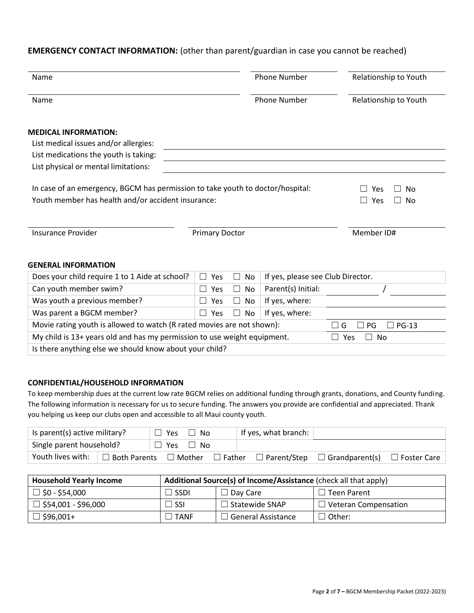### **EMERGENCY CONTACT INFORMATION:** (other than parent/guardian in case you cannot be reached)

| Name                                                                                                                                 |                       |              | <b>Phone Number</b>               | Relationship to Youth        |  |
|--------------------------------------------------------------------------------------------------------------------------------------|-----------------------|--------------|-----------------------------------|------------------------------|--|
| Name                                                                                                                                 |                       |              | <b>Phone Number</b>               | Relationship to Youth        |  |
| <b>MEDICAL INFORMATION:</b><br>List medical issues and/or allergies:<br>List medications the youth is taking:                        |                       |              |                                   |                              |  |
| List physical or mental limitations:                                                                                                 |                       |              |                                   |                              |  |
| In case of an emergency, BGCM has permission to take youth to doctor/hospital:<br>Youth member has health and/or accident insurance: |                       |              |                                   | Yes<br>No<br>Yes<br>No       |  |
| <b>Insurance Provider</b>                                                                                                            | <b>Primary Doctor</b> |              |                                   |                              |  |
| <b>GENERAL INFORMATION</b>                                                                                                           |                       |              |                                   |                              |  |
| Does your child require 1 to 1 Aide at school?                                                                                       | Yes<br>$\Box$         | No<br>$\Box$ | If yes, please see Club Director. |                              |  |
| Can youth member swim?                                                                                                               | Yes                   | No           | Parent(s) Initial:                |                              |  |
| Was youth a previous member?                                                                                                         | Yes                   | No           | If yes, where:                    |                              |  |
| Was parent a BGCM member?                                                                                                            | Yes                   | <b>No</b>    | If yes, where:                    |                              |  |
| Movie rating youth is allowed to watch (R rated movies are not shown):                                                               |                       |              |                                   | <b>PG-13</b><br>П<br>PG<br>G |  |
| My child is 13+ years old and has my permission to use weight equipment.                                                             | No<br>Yes<br>$\Box$   |              |                                   |                              |  |
| Is there anything else we should know about your child?                                                                              |                       |              |                                   |                              |  |

#### **CONFIDENTIAL/HOUSEHOLD INFORMATION**

To keep membership dues at the current low rate BGCM relies on additional funding through grants, donations, and County funding. The following information is necessary for us to secure funding. The answers you provide are confidential and appreciated. Thank you helping us keep our clubs open and accessible to all Maui county youth.

| Is parent(s) active military? |                | $\Box$ Yes | $\Box$ No     |               | If yes, what branch: |                                                             |  |
|-------------------------------|----------------|------------|---------------|---------------|----------------------|-------------------------------------------------------------|--|
| Single parent household?      |                | $\Box$ Yes | $\Box$        | No.           |                      |                                                             |  |
| Youth lives with:             | ⊥ Both Parents |            | $\Box$ Mother | $\Box$ Father |                      | $\Box$ Parent/Step $\Box$ Grandparent(s) $\Box$ Foster Care |  |

| <b>Household Yearly Income</b> | Additional Source(s) of Income/Assistance (check all that apply) |                       |                             |  |  |  |
|--------------------------------|------------------------------------------------------------------|-----------------------|-----------------------------|--|--|--|
| $\Box$ \$0 - \$54,000          | ∃ SSDI.                                                          | $\Box$ Day Care       | l Teen Parent               |  |  |  |
| $\Box$ \$54,001 - \$96,000     | J SSI                                                            | $\Box$ Statewide SNAP | $\Box$ Veteran Compensation |  |  |  |
| $\Box$ \$96,001+               | <b>TANF</b>                                                      | ∃ General Assistance  | Other:                      |  |  |  |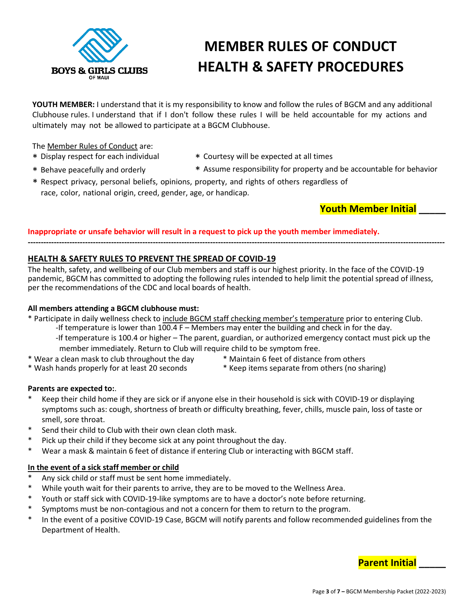

# **MEMBER RULES OF CONDUCT HEALTH & SAFETY PROCEDURES**

**YOUTH MEMBER:** I understand that it is my responsibility to know and follow the rules of BGCM and any additional Clubhouse rules. I understand that if I don't follow these rules I will be held accountable for my actions and ultimately may not be allowed to participate at a BGCM Clubhouse.

The Member Rules of Conduct are:

- 
- \* Display respect for each individual \* Courtesy will be expected at all times
- \* Behave peacefully and orderly \* Assume responsibility for property and be accountable for behavior
- 
- \* Respect privacy, personal beliefs, opinions, property, and rights of others regardless of race, color, national origin, creed, gender, age, or handicap.

**Youth Member Initial \_\_\_\_\_**

### **Inappropriate or unsafe behavior will result in a request to pick up the youth member immediately.**

**----------------------------------------------------------------------------------------------------------------------------------------------------------------**

### **HEALTH & SAFETY RULES TO PREVENT THE SPREAD OF COVID-19**

The health, safety, and wellbeing of our Club members and staff is our highest priority. In the face of the COVID-19 pandemic, BGCM has committed to adopting the following rules intended to help limit the potential spread of illness, per the recommendations of the CDC and local boards of health.

### **All members attending a BGCM clubhouse must:**

\* Participate in daily wellness check to include BGCM staff checking member's temperature prior to entering Club.

- -If temperature is lower than 100.4 F Members may enter the building and check in for the day.
- -If temperature is 100.4 or higher The parent, guardian, or authorized emergency contact must pick up the member immediately. Return to Club will require child to be symptom free.
- \* Wear a clean mask to club throughout the day \* Maintain 6 feet of distance from others
	-
- \* Wash hands properly for at least 20 seconds \* Keep items separate from others (no sharing)
- 

### **Parents are expected to:**.

- Keep their child home if they are sick or if anyone else in their household is sick with COVID-19 or displaying symptoms such as: cough, shortness of breath or difficulty breathing, fever, chills, muscle pain, loss of taste or smell, sore throat.
- \* Send their child to Club with their own clean cloth mask.
- Pick up their child if they become sick at any point throughout the day.
- \* Wear a mask & maintain 6 feet of distance if entering Club or interacting with BGCM staff.

### **In the event of a sick staff member or child**

- Any sick child or staff must be sent home immediately.
- While youth wait for their parents to arrive, they are to be moved to the Wellness Area.
- Youth or staff sick with COVID-19-like symptoms are to have a doctor's note before returning.
- Symptoms must be non-contagious and not a concern for them to return to the program.
- \* In the event of a positive COVID-19 Case, BGCM will notify parents and follow recommended guidelines from the Department of Health.

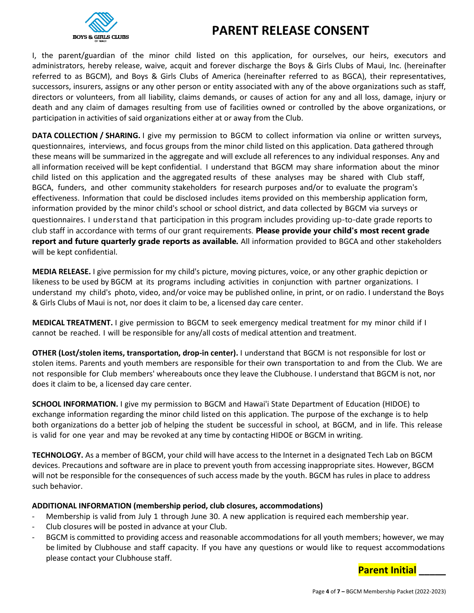

# **PARENT RELEASE CONSENT**

I, the parent/guardian of the minor child listed on this application, for ourselves, our heirs, executors and administrators, hereby release, waive, acquit and forever discharge the Boys & Girls Clubs of Maui, Inc. (hereinafter referred to as BGCM), and Boys & Girls Clubs of America (hereinafter referred to as BGCA), their representatives, successors, insurers, assigns or any other person or entity associated with any of the above organizations such as staff, directors or volunteers, from all liability, claims demands, or causes of action for any and all loss, damage, injury or death and any claim of damages resulting from use of facilities owned or controlled by the above organizations, or participation in activities of said organizations either at or away from the Club.

**DATA COLLECTION / SHARING.** I give my permission to BGCM to collect information via online or written surveys, questionnaires, interviews, and focus groups from the minor child listed on this application. Data gathered through these means will be summarized in the aggregate and will exclude all references to any individual responses. Any and all information received will be kept confidential. I understand that BGCM may share information about the minor child listed on this application and the aggregated results of these analyses may be shared with Club staff, BGCA, funders, and other community stakeholders for research purposes and/or to evaluate the program's effectiveness. Information that could be disclosed includes items provided on this membership application form, information provided by the minor child's school or school district, and data collected by BGCM via surveys or questionnaires. I understand that participation in this program includes providing up-to-date grade reports to club staff in accordance with terms of our grant requirements. **Please provide your child's most recent grade report and future quarterly grade reports as available***.* All information provided to BGCA and other stakeholders will be kept confidential.

**MEDIA RELEASE.** I give permission for my child's picture, moving pictures, voice, or any other graphic depiction or likeness to be used by BGCM at its programs including activities in conjunction with partner organizations. I understand my child's photo, video, and/or voice may be published online, in print, or on radio. I understand the Boys & Girls Clubs of Maui is not, nor does it claim to be, a licensed day care center.

**MEDICAL TREATMENT.** I give permission to BGCM to seek emergency medical treatment for my minor child if I cannot be reached. I will be responsible for any/all costs of medical attention and treatment.

**OTHER (Lost/stolen items, transportation, drop-in center).** I understand that BGCM is not responsible for lost or stolen items. Parents and youth members are responsible for their own transportation to and from the Club. We are not responsible for Club members' whereabouts once they leave the Clubhouse. I understand that BGCM is not, nor does it claim to be, a licensed day care center.

**SCHOOL INFORMATION.** I give my permission to BGCM and Hawai'i State Department of Education (HIDOE) to exchange information regarding the minor child listed on this application. The purpose of the exchange is to help both organizations do a better job of helping the student be successful in school, at BGCM, and in life. This release is valid for one year and may be revoked at any time by contacting HIDOE or BGCM in writing.

**TECHNOLOGY.** As a member of BGCM, your child will have access to the Internet in a designated Tech Lab on BGCM devices. Precautions and software are in place to prevent youth from accessing inappropriate sites. However, BGCM will not be responsible for the consequences of such access made by the youth. BGCM has rules in place to address such behavior.

### **ADDITIONAL INFORMATION (membership period, club closures, accommodations)**

- Membership is valid from July 1 through June 30. A new application is required each membership year.
- Club closures will be posted in advance at your Club.
- BGCM is committed to providing access and reasonable accommodations for all youth members; however, we may be limited by Clubhouse and staff capacity. If you have any questions or would like to request accommodations please contact your Clubhouse staff.

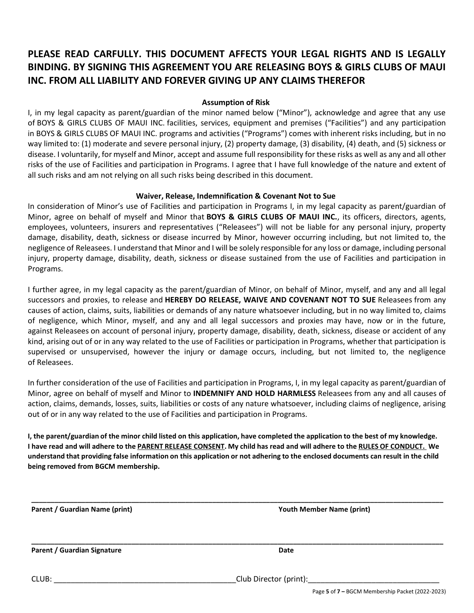# **PLEASE READ CARFULLY. THIS DOCUMENT AFFECTS YOUR LEGAL RIGHTS AND IS LEGALLY BINDING. BY SIGNING THIS AGREEMENT YOU ARE RELEASING BOYS & GIRLS CLUBS OF MAUI INC. FROM ALL LIABILITY AND FOREVER GIVING UP ANY CLAIMS THEREFOR**

### **Assumption of Risk**

I, in my legal capacity as parent/guardian of the minor named below ("Minor"), acknowledge and agree that any use of BOYS & GIRLS CLUBS OF MAUI INC. facilities, services, equipment and premises ("Facilities") and any participation in BOYS & GIRLS CLUBS OF MAUI INC. programs and activities ("Programs") comes with inherent risks including, but in no way limited to: (1) moderate and severe personal injury, (2) property damage, (3) disability, (4) death, and (5) sickness or disease. I voluntarily, for myself and Minor, accept and assume full responsibility for these risks as well as any and all other risks of the use of Facilities and participation in Programs. I agree that I have full knowledge of the nature and extent of all such risks and am not relying on all such risks being described in this document.

### **Waiver, Release, Indemnification & Covenant Not to Sue**

In consideration of Minor's use of Facilities and participation in Programs I, in my legal capacity as parent/guardian of Minor, agree on behalf of myself and Minor that **BOYS & GIRLS CLUBS OF MAUI INC.**, its officers, directors, agents, employees, volunteers, insurers and representatives ("Releasees") will not be liable for any personal injury, property damage, disability, death, sickness or disease incurred by Minor, however occurring including, but not limited to, the negligence of Releasees. I understand that Minor and I will be solely responsible for any loss or damage, including personal injury, property damage, disability, death, sickness or disease sustained from the use of Facilities and participation in Programs.

I further agree, in my legal capacity as the parent/guardian of Minor, on behalf of Minor, myself, and any and all legal successors and proxies, to release and **HEREBY DO RELEASE, WAIVE AND COVENANT NOT TO SUE** Releasees from any causes of action, claims, suits, liabilities or demands of any nature whatsoever including, but in no way limited to, claims of negligence, which Minor, myself, and any and all legal successors and proxies may have, now or in the future, against Releasees on account of personal injury, property damage, disability, death, sickness, disease or accident of any kind, arising out of or in any way related to the use of Facilities or participation in Programs, whether that participation is supervised or unsupervised, however the injury or damage occurs, including, but not limited to, the negligence of Releasees.

In further consideration of the use of Facilities and participation in Programs, I, in my legal capacity as parent/guardian of Minor, agree on behalf of myself and Minor to **INDEMNIFY AND HOLD HARMLESS** Releasees from any and all causes of action, claims, demands, losses, suits, liabilities or costs of any nature whatsoever, including claims of negligence, arising out of or in any way related to the use of Facilities and participation in Programs.

I, the parent/guardian of the minor child listed on this application, have completed the application to the best of my knowledge. I have read and will adhere to the PARENT RELEASE CONSENT. My child has read and will adhere to the RULES OF CONDUCT. We understand that providing false information on this application or not adhering to the enclosed documents can result in the child **being removed from BGCM membership.**

**\_\_\_\_\_\_\_\_\_\_\_\_\_\_\_\_\_\_\_\_\_\_\_\_\_\_\_\_\_\_\_\_\_\_\_\_\_\_\_\_\_\_\_\_\_\_\_\_\_\_\_\_\_\_\_\_\_\_\_\_\_\_\_\_\_\_\_\_\_\_\_\_\_\_\_\_\_\_\_\_\_\_\_\_\_\_\_\_\_\_\_\_\_\_\_\_\_\_\_\_\_\_\_\_\_\_\_**

**\_\_\_\_\_\_\_\_\_\_\_\_\_\_\_\_\_\_\_\_\_\_\_\_\_\_\_\_\_\_\_\_\_\_\_\_\_\_\_\_\_\_\_\_\_\_\_\_\_\_\_\_\_\_\_\_\_\_\_\_\_\_\_\_\_\_\_\_\_\_\_\_\_\_\_\_\_\_\_\_\_\_\_\_\_\_\_\_\_\_\_\_\_\_\_\_\_\_\_\_\_\_\_\_\_\_\_**

**Parent / Guardian Name (print) Youth Member Name (print)**

**Parent / Guardian Signature Date** 

CLUB: \_\_\_\_\_\_\_\_\_\_\_\_\_\_\_\_\_\_\_\_\_\_\_\_\_\_\_\_\_\_\_\_\_\_\_\_\_\_\_\_\_\_\_Club Director (print):\_\_\_\_\_\_\_\_\_\_\_\_\_\_\_\_\_\_\_\_\_\_\_\_\_\_\_\_\_\_\_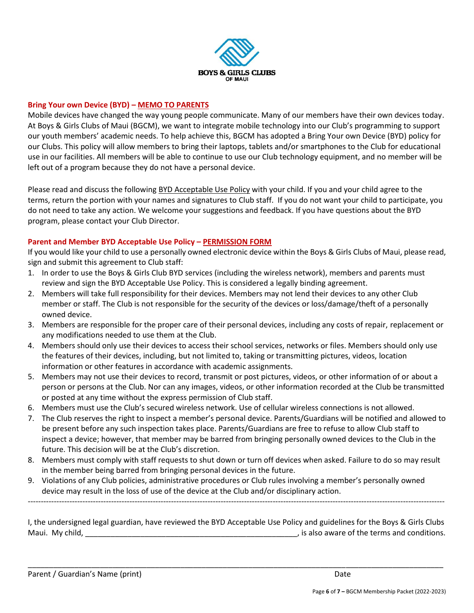

### **Bring Your own Device (BYD) – MEMO TO PARENTS**

Mobile devices have changed the way young people communicate. Many of our members have their own devices today. At Boys & Girls Clubs of Maui (BGCM), we want to integrate mobile technology into our Club's programming to support our youth members' academic needs. To help achieve this, BGCM has adopted a Bring Your own Device (BYD) policy for our Clubs. This policy will allow members to bring their laptops, tablets and/or smartphones to the Club for educational use in our facilities. All members will be able to continue to use our Club technology equipment, and no member will be left out of a program because they do not have a personal device.

Please read and discuss the following BYD Acceptable Use Policy with your child. If you and your child agree to the terms, return the portion with your names and signatures to Club staff. If you do not want your child to participate, you do not need to take any action. We welcome your suggestions and feedback. If you have questions about the BYD program, please contact your Club Director.

### **Parent and Member BYD Acceptable Use Policy – PERMISSION FORM**

If you would like your child to use a personally owned electronic device within the Boys & Girls Clubs of Maui, please read, sign and submit this agreement to Club staff:

- 1. In order to use the Boys & Girls Club BYD services (including the wireless network), members and parents must review and sign the BYD Acceptable Use Policy. This is considered a legally binding agreement.
- 2. Members will take full responsibility for their devices. Members may not lend their devices to any other Club member or staff. The Club is not responsible for the security of the devices or loss/damage/theft of a personally owned device.
- 3. Members are responsible for the proper care of their personal devices, including any costs of repair, replacement or any modifications needed to use them at the Club.
- 4. Members should only use their devices to access their school services, networks or files. Members should only use the features of their devices, including, but not limited to, taking or transmitting pictures, videos, location information or other features in accordance with academic assignments.
- 5. Members may not use their devices to record, transmit or post pictures, videos, or other information of or about a person or persons at the Club. Nor can any images, videos, or other information recorded at the Club be transmitted or posted at any time without the express permission of Club staff.
- 6. Members must use the Club's secured wireless network. Use of cellular wireless connections is not allowed.
- 7. The Club reserves the right to inspect a member's personal device. Parents/Guardians will be notified and allowed to be present before any such inspection takes place. Parents/Guardians are free to refuse to allow Club staff to inspect a device; however, that member may be barred from bringing personally owned devices to the Club in the future. This decision will be at the Club's discretion.
- 8. Members must comply with staff requests to shut down or turn off devices when asked. Failure to do so may result in the member being barred from bringing personal devices in the future.
- 9. Violations of any Club policies, administrative procedures or Club rules involving a member's personally owned device may result in the loss of use of the device at the Club and/or disciplinary action.

I, the undersigned legal guardian, have reviewed the BYD Acceptable Use Policy and guidelines for the Boys & Girls Clubs Maui. My child, the child state of the terms and conditions.

\_\_\_\_\_\_\_\_\_\_\_\_\_\_\_\_\_\_\_\_\_\_\_\_\_\_\_\_\_\_\_\_\_\_\_\_\_\_\_\_\_\_\_\_\_\_\_\_\_\_\_\_\_\_\_\_\_\_\_\_\_\_\_\_\_\_\_\_\_\_\_\_\_\_\_\_\_\_\_\_\_\_\_\_\_\_\_\_\_\_\_\_\_\_\_\_\_\_

----------------------------------------------------------------------------------------------------------------------------------------------------------------